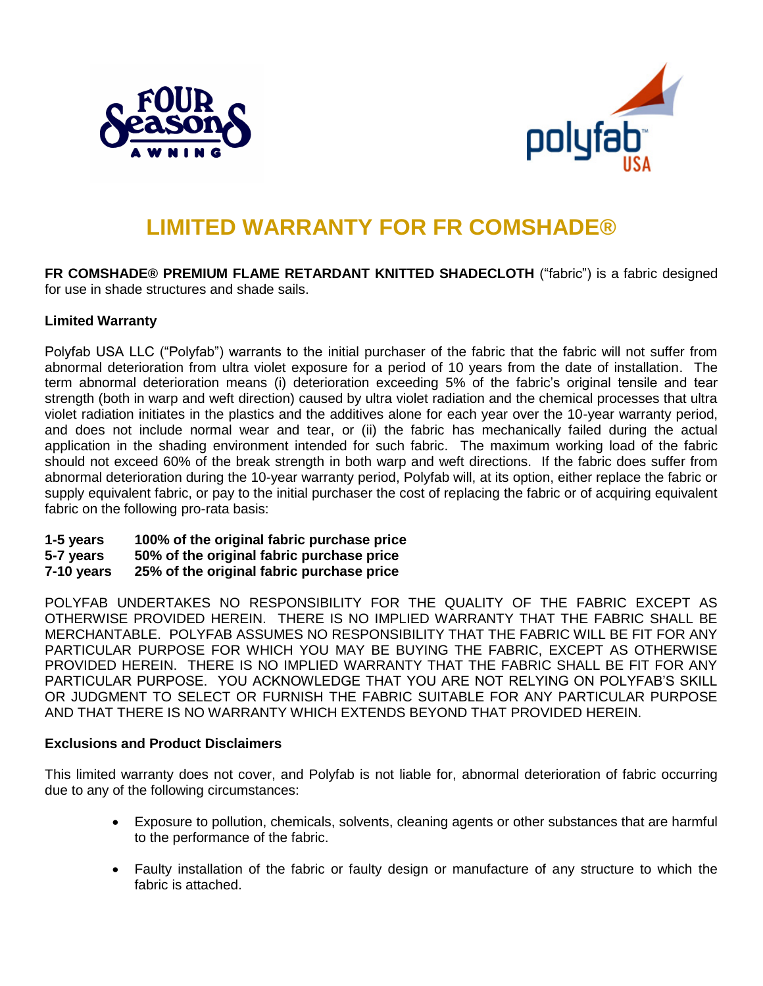



# **LIMITED WARRANTY FOR FR COMSHADE®**

**FR COMSHADE® PREMIUM FLAME RETARDANT KNITTED SHADECLOTH** ("fabric") is a fabric designed for use in shade structures and shade sails.

## **Limited Warranty**

Polyfab USA LLC ("Polyfab") warrants to the initial purchaser of the fabric that the fabric will not suffer from abnormal deterioration from ultra violet exposure for a period of 10 years from the date of installation. The term abnormal deterioration means (i) deterioration exceeding 5% of the fabric's original tensile and tear strength (both in warp and weft direction) caused by ultra violet radiation and the chemical processes that ultra violet radiation initiates in the plastics and the additives alone for each year over the 10-year warranty period, and does not include normal wear and tear, or (ii) the fabric has mechanically failed during the actual application in the shading environment intended for such fabric. The maximum working load of the fabric should not exceed 60% of the break strength in both warp and weft directions. If the fabric does suffer from abnormal deterioration during the 10-year warranty period, Polyfab will, at its option, either replace the fabric or supply equivalent fabric, or pay to the initial purchaser the cost of replacing the fabric or of acquiring equivalent fabric on the following pro-rata basis:

- **1-5 years 100% of the original fabric purchase price**
- **5-7 years 50% of the original fabric purchase price**
- **7-10 years 25% of the original fabric purchase price**

POLYFAB UNDERTAKES NO RESPONSIBILITY FOR THE QUALITY OF THE FABRIC EXCEPT AS OTHERWISE PROVIDED HEREIN. THERE IS NO IMPLIED WARRANTY THAT THE FABRIC SHALL BE MERCHANTABLE. POLYFAB ASSUMES NO RESPONSIBILITY THAT THE FABRIC WILL BE FIT FOR ANY PARTICULAR PURPOSE FOR WHICH YOU MAY BE BUYING THE FABRIC, EXCEPT AS OTHERWISE PROVIDED HEREIN. THERE IS NO IMPLIED WARRANTY THAT THE FABRIC SHALL BE FIT FOR ANY PARTICULAR PURPOSE. YOU ACKNOWLEDGE THAT YOU ARE NOT RELYING ON POLYFAB'S SKILL OR JUDGMENT TO SELECT OR FURNISH THE FABRIC SUITABLE FOR ANY PARTICULAR PURPOSE AND THAT THERE IS NO WARRANTY WHICH EXTENDS BEYOND THAT PROVIDED HEREIN.

## **Exclusions and Product Disclaimers**

This limited warranty does not cover, and Polyfab is not liable for, abnormal deterioration of fabric occurring due to any of the following circumstances:

- Exposure to pollution, chemicals, solvents, cleaning agents or other substances that are harmful to the performance of the fabric.
- Faulty installation of the fabric or faulty design or manufacture of any structure to which the fabric is attached.